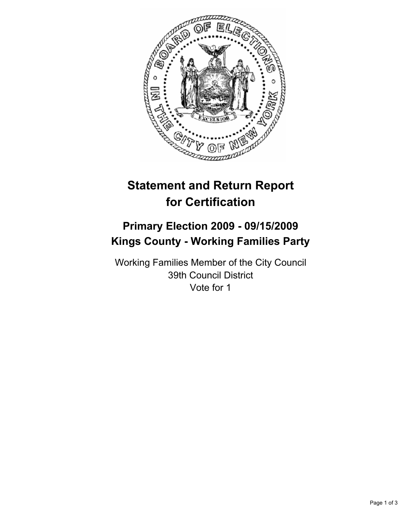

# **Statement and Return Report for Certification**

# **Primary Election 2009 - 09/15/2009 Kings County - Working Families Party**

Working Families Member of the City Council 39th Council District Vote for 1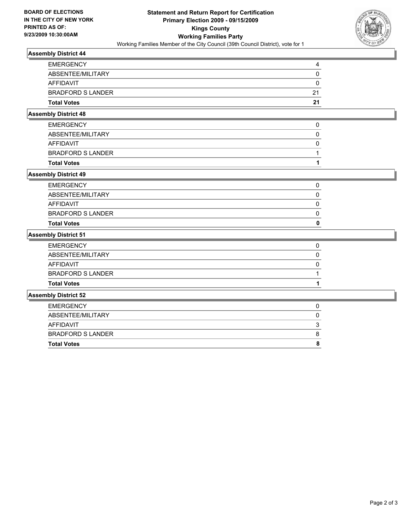

#### **Assembly District 44**

| <b>Total Votes</b>       | 21 |
|--------------------------|----|
| <b>BRADFORD S LANDER</b> | 21 |
| AFFIDAVIT                | 0  |
| ABSENTEE/MILITARY        | 0  |
| <b>EMERGENCY</b>         |    |

#### **Assembly District 48**

| <b>Total Votes</b>       |  |
|--------------------------|--|
| <b>BRADFORD S LANDER</b> |  |
| <b>AFFIDAVIT</b>         |  |
| ABSENTEE/MILITARY        |  |
| <b>EMERGENCY</b>         |  |

#### **Assembly District 49**

| 0 |
|---|
|   |
|   |
|   |
|   |
|   |

### **Assembly District 51**

| <b>Assembly District 52</b> |                          |  |
|-----------------------------|--------------------------|--|
|                             | <b>Total Votes</b>       |  |
|                             | <b>BRADFORD S LANDER</b> |  |
|                             | AFFIDAVIT                |  |
|                             | ABSENTEE/MILITARY        |  |
|                             | <b>EMERGENCY</b>         |  |
|                             |                          |  |

## EMERGENCY 0 ABSENTEE/MILITARY 0 AFFIDAVIT 3 BRADFORD S LANDER 8 **Total Votes** 8